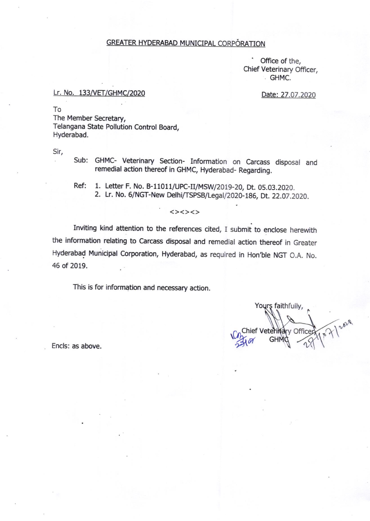### GREATER HYDERABAD MUNICIPAL CORPÓRATION

Office of the, Chief Veterinary Officer, . GHMC.

Date: 27.07.2020

#### Lr. No. 133/VET/GHMC/2020

To

The Member Secretary, Telangana State Pollutioh Control Board, Hyderabad.

Sir,

Sub: GHMC- Veterinary Section- Information on Carcass disposal and remedial action thereof in GHMC, Hyderabad- Regarding.

Ref: 1. Letter F. No. B-11011/UPC-II/MSW/2019-20, Dt. 05.03.2020. 2. Lr. No. 6/NGT-New Delhi/TSPSB/Legal/2020-186, Dt. 22.07.2020.

<><><>

Inviting kind attention to the references cited, I submit to enclose herewith the information relating to carcass disposal and remedial action thereof in Greater Hyderabad Municipal Corporation, Hyderabad, as required in Hon'ble NGT O.A. No. 46 of 2019.

This is for information and necessary action.

Yours faithfully, Chief Veterina v Office **GHM** 

Encls: as above.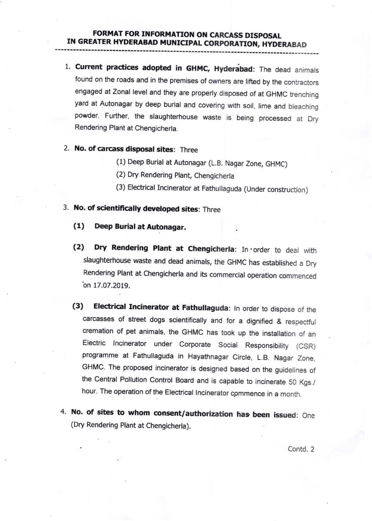- 1. Current practices adopted in GHMC, Hyderabad: The dead animals found on the roads and in the premises of owners are lifted by the contractors engaged at Zonal level and they are properly disposed of at GHMC trenching yard at Autonagar by deep burial and covering with soil, lime and bleaching powder. Further, the slaughterhouse waste is being processed at Dry Rendering Plant at Chengicherla.
- 2. No. of carcass disposal sites: Three
	- (1) Deep Burial at Autonagar (L.B. Nagar Zone, GHMC)
	- (2) Dry Rendering plant, Chengicherla
	- (3) Electrical Incinerator at Fathullaguda (Under construction)
- 3. No. of scientifically developed sites: Three
	- (1) Deep Eurial at Aubnagar.
	- (2) Dry Rendering Plant at Chengicherla: In order to deal with slaughterhouse waste and dead animals, the GHMC has established a Dry Rendering Plant at Chengicherla and its commercial operation commenced  $\emph{on}$  17.07.2019.
	- (3) Electrical Incinerator at Fathullaguda: In order to dispose of the carcasses of street dogs scientifically and for a dignified & respectful cremation of pet animals, the GHMC has took up the installation of an Electric lncinerator under Corporate Social Responsibility (CSR) programme at Fathullaguda in Hayathnagar Circle, L.B. Nagar Zone, GHMC. The proposed incinerator is designed based on the guidelines of the Central Pollution Control Board and is capable to incinerate 50 Kgs./ hour. The operation of the Electrical Incinerator commence in a month.
- 4. No. of sites to whom consent/authorization has been issued: One (Dry Rendering plant at Chengicherla).

Contd. 2